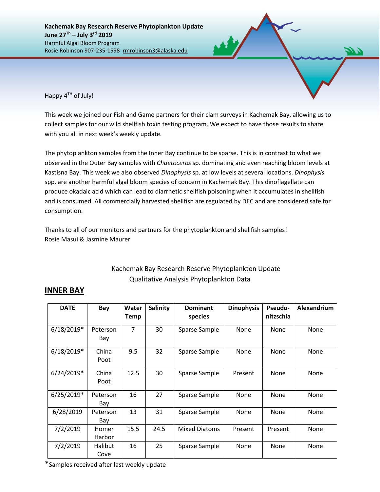Happy  $4^{TH}$  of July!

This week we joined our Fish and Game partners for their clam surveys in Kachemak Bay, allowing us to collect samples for our wild shellfish toxin testing program. We expect to have those results to share with you all in next week's weekly update.

The phytoplankton samples from the Inner Bay continue to be sparse. This is in contrast to what we observed in the Outer Bay samples with *Chaetoceros* sp. dominating and even reaching bloom levels at Kastisna Bay. This week we also observed *Dinophysis* sp. at low levels at several locations. *Dinophysis* spp. are another harmful algal bloom species of concern in Kachemak Bay. This dinoflagellate can produce okadaic acid which can lead to diarrhetic shellfish poisoning when it accumulates in shellfish and is consumed. All commercially harvested shellfish are regulated by DEC and are considered safe for consumption.

Thanks to all of our monitors and partners for the phytoplankton and shellfish samples! Rosie Masui & Jasmine Maurer

## Kachemak Bay Research Reserve Phytoplankton Update Qualitative Analysis Phytoplankton Data

## **INNER BAY**

| <b>DATE</b>  | Bay             | Water<br>Temp | Salinity | <b>Dominant</b><br>species | <b>Dinophysis</b> | <b>Pseudo-</b><br>nitzschia | Alexandrium |
|--------------|-----------------|---------------|----------|----------------------------|-------------------|-----------------------------|-------------|
| $6/18/2019*$ | Peterson<br>Bay | 7             | 30       | Sparse Sample              | None              | None                        | None        |
| $6/18/2019*$ | China<br>Poot   | 9.5           | 32       | Sparse Sample              | None              | None                        | None        |
| $6/24/2019*$ | China<br>Poot   | 12.5          | 30       | Sparse Sample              | Present           | None                        | None        |
| $6/25/2019*$ | Peterson<br>Bay | 16            | 27       | Sparse Sample              | None              | None                        | None        |
| 6/28/2019    | Peterson<br>Bay | 13            | 31       | Sparse Sample              | None              | None                        | None        |
| 7/2/2019     | Homer<br>Harbor | 15.5          | 24.5     | <b>Mixed Diatoms</b>       | Present           | Present                     | None        |
| 7/2/2019     | Halibut<br>Cove | 16            | 25       | Sparse Sample              | None              | None                        | None        |

\*Samples received after last weekly update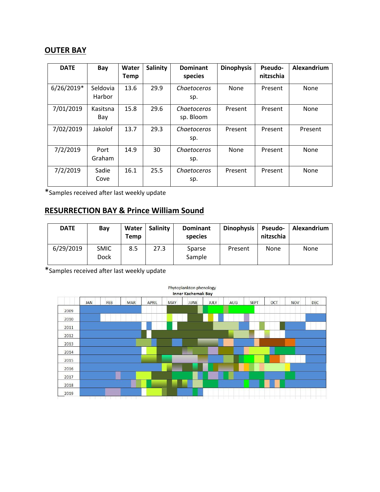## **OUTER BAY**

| <b>DATE</b> | Bay                | Water<br><b>Temp</b> | <b>Salinity</b> | <b>Dominant</b><br>species | <b>Dinophysis</b> | Pseudo-<br>nitzschia | Alexandrium |
|-------------|--------------------|----------------------|-----------------|----------------------------|-------------------|----------------------|-------------|
| 6/26/2019*  | Seldovia<br>Harbor | 13.6                 | 29.9            | Chaetoceros<br>sp.         | None              | Present              | None        |
| 7/01/2019   | Kasitsna<br>Bay    | 15.8                 | 29.6            | Chaetoceros<br>sp. Bloom   | Present           | Present              | None        |
| 7/02/2019   | Jakolof            | 13.7                 | 29.3            | Chaetoceros<br>sp.         | Present           | Present              | Present     |
| 7/2/2019    | Port<br>Graham     | 14.9                 | 30              | Chaetoceros<br>sp.         | <b>None</b>       | Present              | None        |
| 7/2/2019    | Sadie<br>Cove      | 16.1                 | 25.5            | Chaetoceros<br>sp.         | Present           | Present              | None        |

\*Samples received after last weekly update

## **RESURRECTION BAY & Prince William Sound**

| <b>DATE</b> | Bay                 | Water<br>Temp | Salinity | <b>Dominant</b><br>species | <b>Dinophysis</b> | <b>Pseudo-</b><br>nitzschia | Alexandrium |
|-------------|---------------------|---------------|----------|----------------------------|-------------------|-----------------------------|-------------|
| 6/29/2019   | <b>SMIC</b><br>Dock | 8.5           | 27.3     | Sparse<br>Sample           | Present           | <b>None</b>                 | None        |

\*Samples received after last weekly update